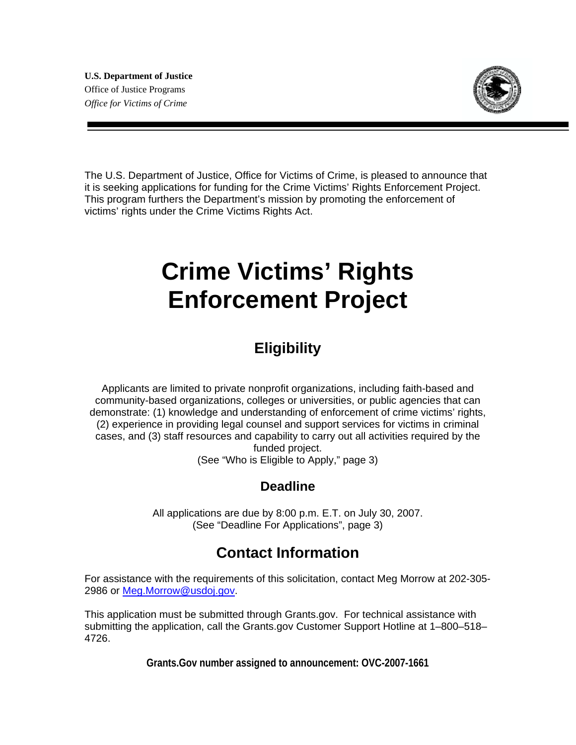

The U.S. Department of Justice, Office for Victims of Crime, is pleased to announce that it is seeking applications for funding for the Crime Victims' Rights Enforcement Project. This program furthers the Department's mission by promoting the enforcement of victims' rights under the Crime Victims Rights Act.

# **Crime Victims' Rights Enforcement Project**

# **Eligibility**

Applicants are limited to private nonprofit organizations, including faith-based and community-based organizations, colleges or universities, or public agencies that can demonstrate: (1) knowledge and understanding of enforcement of crime victims' rights, (2) experience in providing legal counsel and support services for victims in criminal cases, and (3) staff resources and capability to carry out all activities required by the funded project.

(See "Who is Eligible to Apply," page 3)

### **Deadline**

All applications are due by 8:00 p.m. E.T. on July 30, 2007. (See "Deadline For Applications", page 3)

# **Contact Information**

For assistance with the requirements of this solicitation, contact Meg Morrow at 202-305- 2986 or Meg.Morrow@usdoj.gov.

This application must be submitted through Grants.gov. For technical assistance with submitting the application, call the Grants.gov Customer Support Hotline at 1–800–518– 4726.

**Grants.Gov number assigned to announcement: OVC-2007-1661**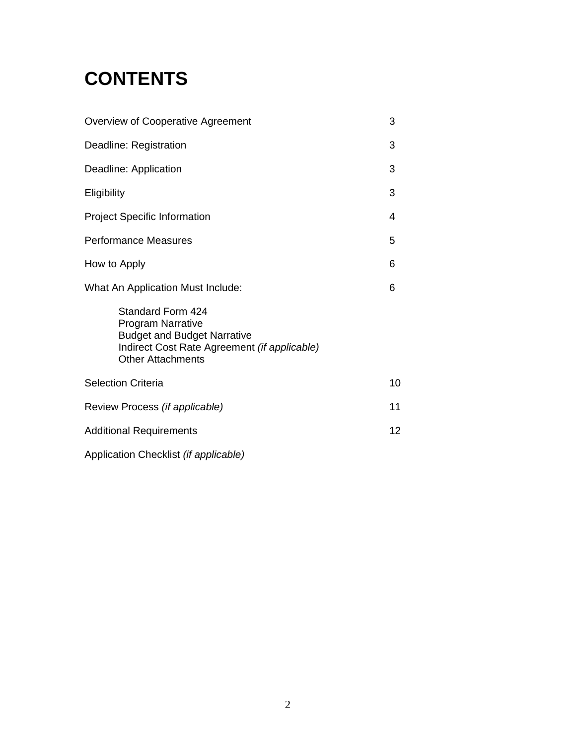# **CONTENTS**

| <b>Overview of Cooperative Agreement</b>                                                                                                                        |    |  |  |
|-----------------------------------------------------------------------------------------------------------------------------------------------------------------|----|--|--|
| Deadline: Registration                                                                                                                                          | 3  |  |  |
| Deadline: Application                                                                                                                                           |    |  |  |
| Eligibility                                                                                                                                                     | 3  |  |  |
| <b>Project Specific Information</b>                                                                                                                             | 4  |  |  |
| <b>Performance Measures</b>                                                                                                                                     |    |  |  |
| How to Apply                                                                                                                                                    | 6  |  |  |
| What An Application Must Include:                                                                                                                               |    |  |  |
| <b>Standard Form 424</b><br>Program Narrative<br><b>Budget and Budget Narrative</b><br>Indirect Cost Rate Agreement (if applicable)<br><b>Other Attachments</b> |    |  |  |
| <b>Selection Criteria</b>                                                                                                                                       | 10 |  |  |
| Review Process (if applicable)                                                                                                                                  |    |  |  |
| <b>Additional Requirements</b>                                                                                                                                  |    |  |  |
| Application Checklist (if applicable)                                                                                                                           |    |  |  |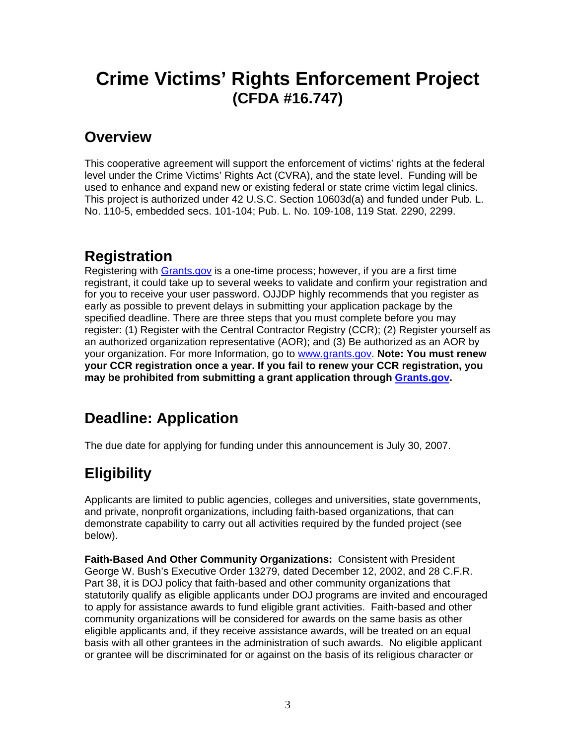# **Crime Victims' Rights Enforcement Project (CFDA #16.747)**

### **Overview**

This cooperative agreement will support the enforcement of victims' rights at the federal level under the Crime Victims' Rights Act (CVRA), and the state level. Funding will be used to enhance and expand new or existing federal or state crime victim legal clinics. This project is authorized under 42 U.S.C. Section 10603d(a) and funded under Pub. L. No. 110-5, embedded secs. 101-104; Pub. L. No. 109-108, 119 Stat. 2290, 2299.

# **Registration**

Registering with Grants.gov is a one-time process; however, if you are a first time registrant, it could take up to several weeks to validate and confirm your registration and for you to receive your user password. OJJDP highly recommends that you register as early as possible to prevent delays in submitting your application package by the specified deadline. There are three steps that you must complete before you may register: (1) Register with the Central Contractor Registry (CCR); (2) Register yourself as an authorized organization representative (AOR); and (3) Be authorized as an AOR by your organization. For more Information, go to www.grants.gov. **Note: You must renew your CCR registration once a year. If you fail to renew your CCR registration, you may be prohibited from submitting a grant application through Grants.gov.** 

# **Deadline: Application**

The due date for applying for funding under this announcement is July 30, 2007.

# **Eligibility**

Applicants are limited to public agencies, colleges and universities, state governments, and private, nonprofit organizations, including faith-based organizations, that can demonstrate capability to carry out all activities required by the funded project (see below).

**Faith-Based And Other Community Organizations:** Consistent with President George W. Bush's Executive Order 13279, dated December 12, 2002, and 28 C.F.R. Part 38, it is DOJ policy that faith-based and other community organizations that statutorily qualify as eligible applicants under DOJ programs are invited and encouraged to apply for assistance awards to fund eligible grant activities. Faith-based and other community organizations will be considered for awards on the same basis as other eligible applicants and, if they receive assistance awards, will be treated on an equal basis with all other grantees in the administration of such awards. No eligible applicant or grantee will be discriminated for or against on the basis of its religious character or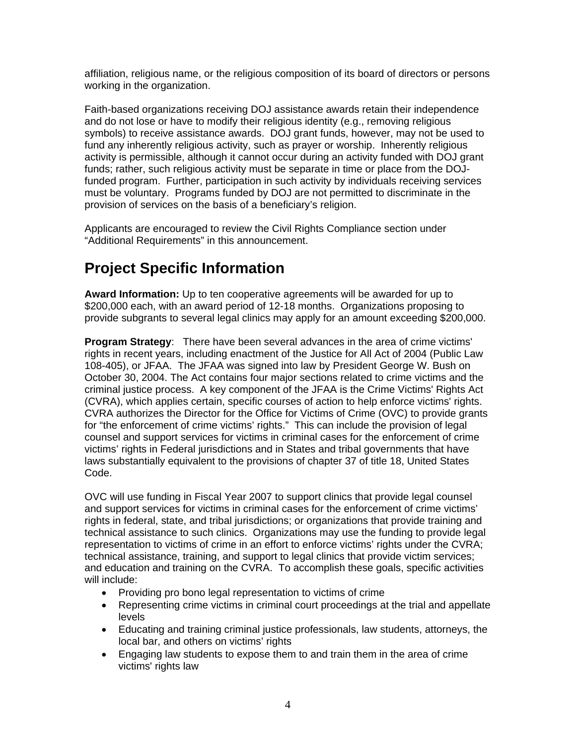affiliation, religious name, or the religious composition of its board of directors or persons working in the organization.

Faith-based organizations receiving DOJ assistance awards retain their independence and do not lose or have to modify their religious identity (e.g., removing religious symbols) to receive assistance awards. DOJ grant funds, however, may not be used to fund any inherently religious activity, such as prayer or worship. Inherently religious activity is permissible, although it cannot occur during an activity funded with DOJ grant funds; rather, such religious activity must be separate in time or place from the DOJfunded program. Further, participation in such activity by individuals receiving services must be voluntary. Programs funded by DOJ are not permitted to discriminate in the provision of services on the basis of a beneficiary's religion.

Applicants are encouraged to review the Civil Rights Compliance section under "Additional Requirements" in this announcement.

# **Project Specific Information**

**Award Information:** Up to ten cooperative agreements will be awarded for up to \$200,000 each, with an award period of 12-18 months. Organizations proposing to provide subgrants to several legal clinics may apply for an amount exceeding \$200,000.

**Program Strategy**: There have been several advances in the area of crime victims' rights in recent years, including enactment of the Justice for All Act of 2004 (Public Law 108-405), or JFAA. The JFAA was signed into law by President George W. Bush on October 30, 2004. The Act contains four major sections related to crime victims and the criminal justice process. A key component of the JFAA is the Crime Victims' Rights Act (CVRA), which applies certain, specific courses of action to help enforce victims' rights. CVRA authorizes the Director for the Office for Victims of Crime (OVC) to provide grants for "the enforcement of crime victims' rights." This can include the provision of legal counsel and support services for victims in criminal cases for the enforcement of crime victims' rights in Federal jurisdictions and in States and tribal governments that have laws substantially equivalent to the provisions of chapter 37 of title 18, United States Code.

OVC will use funding in Fiscal Year 2007 to support clinics that provide legal counsel and support services for victims in criminal cases for the enforcement of crime victims' rights in federal, state, and tribal jurisdictions; or organizations that provide training and technical assistance to such clinics. Organizations may use the funding to provide legal representation to victims of crime in an effort to enforce victims' rights under the CVRA; technical assistance, training, and support to legal clinics that provide victim services; and education and training on the CVRA. To accomplish these goals, specific activities will include:

- Providing pro bono legal representation to victims of crime
- Representing crime victims in criminal court proceedings at the trial and appellate levels
- Educating and training criminal justice professionals, law students, attorneys, the local bar, and others on victims' rights
- Engaging law students to expose them to and train them in the area of crime victims' rights law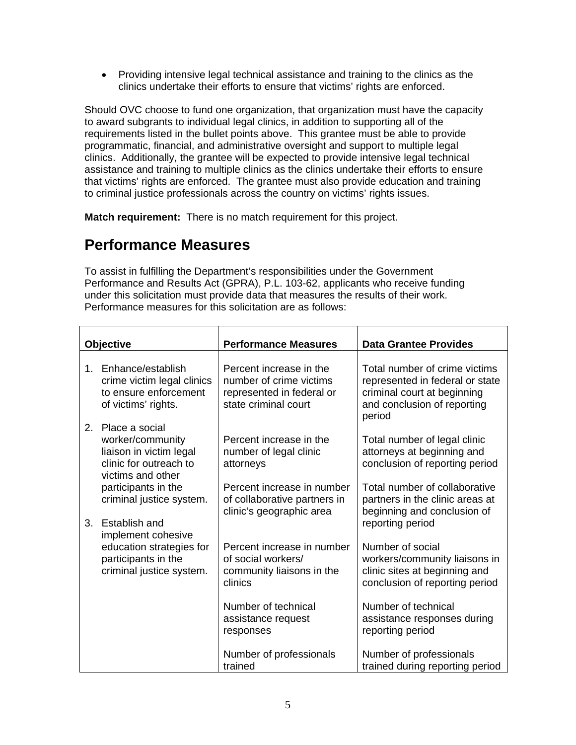• Providing intensive legal technical assistance and training to the clinics as the clinics undertake their efforts to ensure that victims' rights are enforced.

Should OVC choose to fund one organization, that organization must have the capacity to award subgrants to individual legal clinics, in addition to supporting all of the requirements listed in the bullet points above. This grantee must be able to provide programmatic, financial, and administrative oversight and support to multiple legal clinics. Additionally, the grantee will be expected to provide intensive legal technical assistance and training to multiple clinics as the clinics undertake their efforts to ensure that victims' rights are enforced. The grantee must also provide education and training to criminal justice professionals across the country on victims' rights issues.

**Match requirement:** There is no match requirement for this project.

## **Performance Measures**

To assist in fulfilling the Department's responsibilities under the Government Performance and Results Act (GPRA), P.L. 103-62, applicants who receive funding under this solicitation must provide data that measures the results of their work. Performance measures for this solicitation are as follows:

| Objective      |                                                                                                              | <b>Performance Measures</b>                                                                             | <b>Data Grantee Provides</b>                                                                                                             |
|----------------|--------------------------------------------------------------------------------------------------------------|---------------------------------------------------------------------------------------------------------|------------------------------------------------------------------------------------------------------------------------------------------|
|                | 1. Enhance/establish<br>crime victim legal clinics<br>to ensure enforcement<br>of victims' rights.           | Percent increase in the<br>number of crime victims<br>represented in federal or<br>state criminal court | Total number of crime victims<br>represented in federal or state<br>criminal court at beginning<br>and conclusion of reporting<br>period |
| 2 <sup>2</sup> | Place a social<br>worker/community<br>liaison in victim legal<br>clinic for outreach to<br>victims and other | Percent increase in the<br>number of legal clinic<br>attorneys                                          | Total number of legal clinic<br>attorneys at beginning and<br>conclusion of reporting period                                             |
| 3.             | participants in the<br>criminal justice system.<br>Establish and<br>implement cohesive                       | Percent increase in number<br>of collaborative partners in<br>clinic's geographic area                  | Total number of collaborative<br>partners in the clinic areas at<br>beginning and conclusion of<br>reporting period                      |
|                | education strategies for<br>participants in the<br>criminal justice system.                                  | Percent increase in number<br>of social workers/<br>community liaisons in the<br>clinics                | Number of social<br>workers/community liaisons in<br>clinic sites at beginning and<br>conclusion of reporting period                     |
|                |                                                                                                              | Number of technical<br>assistance request<br>responses                                                  | Number of technical<br>assistance responses during<br>reporting period                                                                   |
|                |                                                                                                              | Number of professionals<br>trained                                                                      | Number of professionals<br>trained during reporting period                                                                               |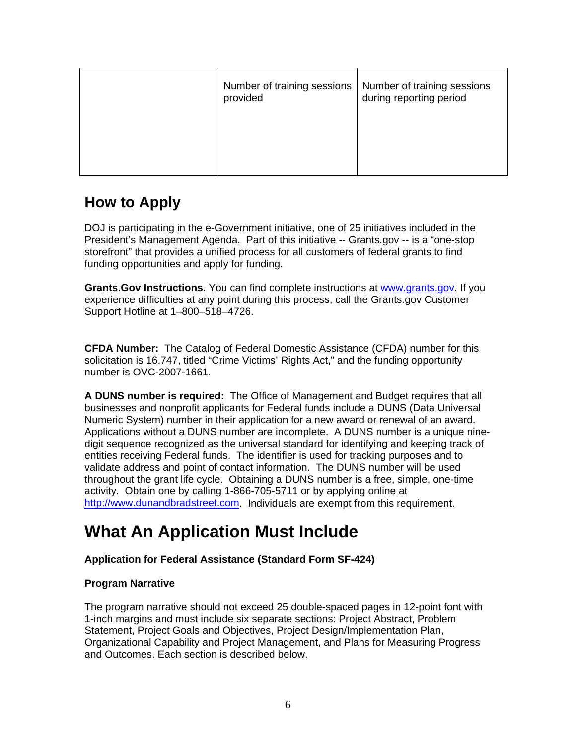| Number of training sessions<br>provided | Number of training sessions<br>during reporting period |
|-----------------------------------------|--------------------------------------------------------|
|                                         |                                                        |

# **How to Apply**

DOJ is participating in the e-Government initiative, one of 25 initiatives included in the President's Management Agenda. Part of this initiative -- Grants.gov -- is a "one-stop storefront" that provides a unified process for all customers of federal grants to find funding opportunities and apply for funding.

**Grants.Gov Instructions.** You can find complete instructions at www.grants.gov. If you experience difficulties at any point during this process, call the Grants.gov Customer Support Hotline at 1–800–518–4726.

**CFDA Number:** The Catalog of Federal Domestic Assistance (CFDA) number for this solicitation is 16.747, titled "Crime Victims' Rights Act," and the funding opportunity number is OVC-2007-1661.

**A DUNS number is required:** The Office of Management and Budget requires that all businesses and nonprofit applicants for Federal funds include a DUNS (Data Universal Numeric System) number in their application for a new award or renewal of an award. Applications without a DUNS number are incomplete. A DUNS number is a unique ninedigit sequence recognized as the universal standard for identifying and keeping track of entities receiving Federal funds. The identifier is used for tracking purposes and to validate address and point of contact information. The DUNS number will be used throughout the grant life cycle. Obtaining a DUNS number is a free, simple, one-time activity. Obtain one by calling 1-866-705-5711 or by applying online at http://www.dunandbradstreet.com. Individuals are exempt from this requirement.

# **What An Application Must Include**

### **Application for Federal Assistance (Standard Form SF-424)**

### **Program Narrative**

The program narrative should not exceed 25 double-spaced pages in 12-point font with 1-inch margins and must include six separate sections: Project Abstract, Problem Statement, Project Goals and Objectives, Project Design/Implementation Plan, Organizational Capability and Project Management, and Plans for Measuring Progress and Outcomes. Each section is described below.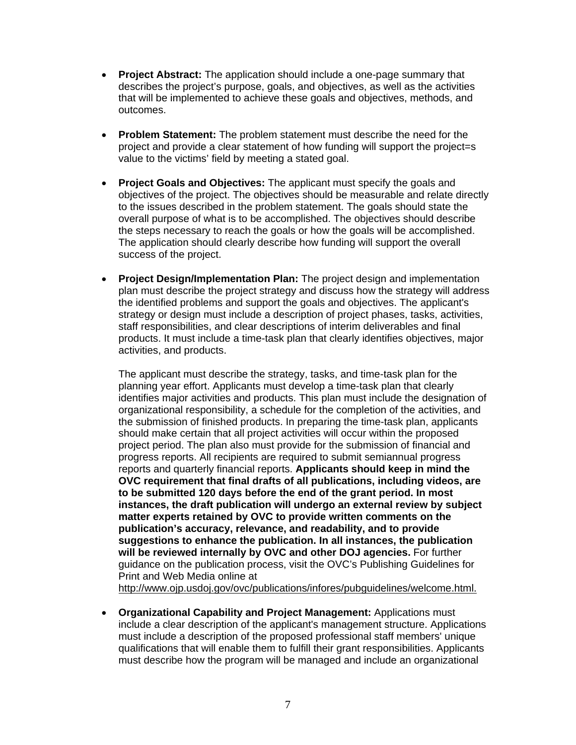- **Project Abstract:** The application should include a one-page summary that describes the project's purpose, goals, and objectives, as well as the activities that will be implemented to achieve these goals and objectives, methods, and outcomes.
- **Problem Statement:** The problem statement must describe the need for the project and provide a clear statement of how funding will support the project=s value to the victims' field by meeting a stated goal.
- **Project Goals and Objectives:** The applicant must specify the goals and objectives of the project. The objectives should be measurable and relate directly to the issues described in the problem statement. The goals should state the overall purpose of what is to be accomplished. The objectives should describe the steps necessary to reach the goals or how the goals will be accomplished. The application should clearly describe how funding will support the overall success of the project.
- **Project Design/Implementation Plan:** The project design and implementation plan must describe the project strategy and discuss how the strategy will address the identified problems and support the goals and objectives. The applicant's strategy or design must include a description of project phases, tasks, activities, staff responsibilities, and clear descriptions of interim deliverables and final products. It must include a time-task plan that clearly identifies objectives, major activities, and products.

The applicant must describe the strategy, tasks, and time-task plan for the planning year effort. Applicants must develop a time-task plan that clearly identifies major activities and products. This plan must include the designation of organizational responsibility, a schedule for the completion of the activities, and the submission of finished products. In preparing the time-task plan, applicants should make certain that all project activities will occur within the proposed project period. The plan also must provide for the submission of financial and progress reports. All recipients are required to submit semiannual progress reports and quarterly financial reports. **Applicants should keep in mind the OVC requirement that final drafts of all publications, including videos, are to be submitted 120 days before the end of the grant period. In most instances, the draft publication will undergo an external review by subject matter experts retained by OVC to provide written comments on the publication's accuracy, relevance, and readability, and to provide suggestions to enhance the publication. In all instances, the publication will be reviewed internally by OVC and other DOJ agencies.** For further guidance on the publication process, visit the OVC's Publishing Guidelines for Print and Web Media online at http://www.ojp.usdoj.gov/ovc/publications/infores/pubguidelines/welcome.html.

• **Organizational Capability and Project Management:** Applications must include a clear description of the applicant's management structure. Applications must include a description of the proposed professional staff members' unique qualifications that will enable them to fulfill their grant responsibilities. Applicants must describe how the program will be managed and include an organizational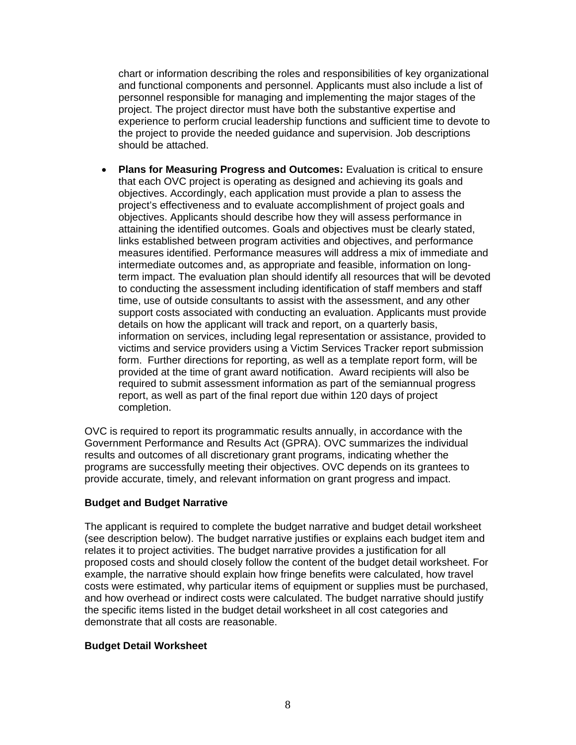chart or information describing the roles and responsibilities of key organizational and functional components and personnel. Applicants must also include a list of personnel responsible for managing and implementing the major stages of the project. The project director must have both the substantive expertise and experience to perform crucial leadership functions and sufficient time to devote to the project to provide the needed guidance and supervision. Job descriptions should be attached.

• **Plans for Measuring Progress and Outcomes:** Evaluation is critical to ensure that each OVC project is operating as designed and achieving its goals and objectives. Accordingly, each application must provide a plan to assess the project's effectiveness and to evaluate accomplishment of project goals and objectives. Applicants should describe how they will assess performance in attaining the identified outcomes. Goals and objectives must be clearly stated, links established between program activities and objectives, and performance measures identified. Performance measures will address a mix of immediate and intermediate outcomes and, as appropriate and feasible, information on longterm impact. The evaluation plan should identify all resources that will be devoted to conducting the assessment including identification of staff members and staff time, use of outside consultants to assist with the assessment, and any other support costs associated with conducting an evaluation. Applicants must provide details on how the applicant will track and report, on a quarterly basis, information on services, including legal representation or assistance, provided to victims and service providers using a Victim Services Tracker report submission form. Further directions for reporting, as well as a template report form, will be provided at the time of grant award notification. Award recipients will also be required to submit assessment information as part of the semiannual progress report, as well as part of the final report due within 120 days of project completion.

OVC is required to report its programmatic results annually, in accordance with the Government Performance and Results Act (GPRA). OVC summarizes the individual results and outcomes of all discretionary grant programs, indicating whether the programs are successfully meeting their objectives. OVC depends on its grantees to provide accurate, timely, and relevant information on grant progress and impact.

### **Budget and Budget Narrative**

The applicant is required to complete the budget narrative and budget detail worksheet (see description below). The budget narrative justifies or explains each budget item and relates it to project activities. The budget narrative provides a justification for all proposed costs and should closely follow the content of the budget detail worksheet. For example, the narrative should explain how fringe benefits were calculated, how travel costs were estimated, why particular items of equipment or supplies must be purchased, and how overhead or indirect costs were calculated. The budget narrative should justify the specific items listed in the budget detail worksheet in all cost categories and demonstrate that all costs are reasonable.

#### **Budget Detail Worksheet**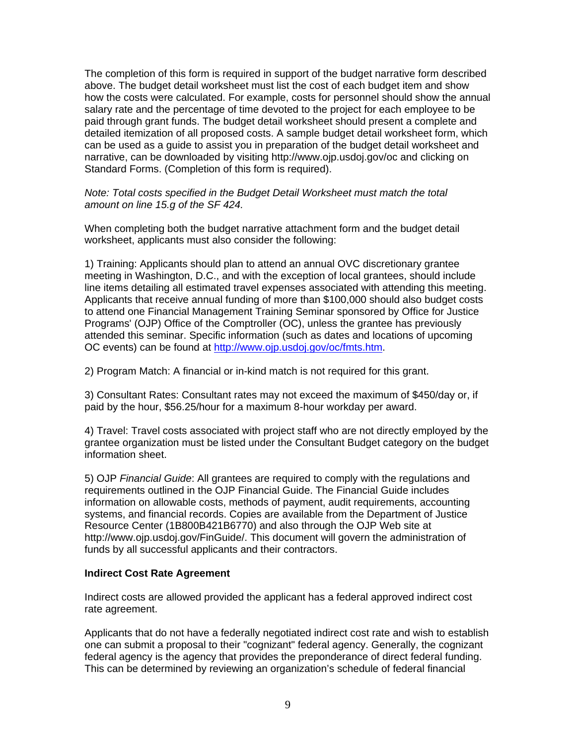The completion of this form is required in support of the budget narrative form described above. The budget detail worksheet must list the cost of each budget item and show how the costs were calculated. For example, costs for personnel should show the annual salary rate and the percentage of time devoted to the project for each employee to be paid through grant funds. The budget detail worksheet should present a complete and detailed itemization of all proposed costs. A sample budget detail worksheet form, which can be used as a guide to assist you in preparation of the budget detail worksheet and narrative, can be downloaded by visiting http://www.ojp.usdoj.gov/oc and clicking on Standard Forms. (Completion of this form is required).

#### *Note: Total costs specified in the Budget Detail Worksheet must match the total amount on line 15.g of the SF 424.*

When completing both the budget narrative attachment form and the budget detail worksheet, applicants must also consider the following:

1) Training: Applicants should plan to attend an annual OVC discretionary grantee meeting in Washington, D.C., and with the exception of local grantees, should include line items detailing all estimated travel expenses associated with attending this meeting. Applicants that receive annual funding of more than \$100,000 should also budget costs to attend one Financial Management Training Seminar sponsored by Office for Justice Programs' (OJP) Office of the Comptroller (OC), unless the grantee has previously attended this seminar. Specific information (such as dates and locations of upcoming OC events) can be found at http://www.ojp.usdoj.gov/oc/fmts.htm.

2) Program Match: A financial or in-kind match is not required for this grant.

3) Consultant Rates: Consultant rates may not exceed the maximum of \$450/day or, if paid by the hour, \$56.25/hour for a maximum 8-hour workday per award.

4) Travel: Travel costs associated with project staff who are not directly employed by the grantee organization must be listed under the Consultant Budget category on the budget information sheet.

5) OJP *Financial Guide*: All grantees are required to comply with the regulations and requirements outlined in the OJP Financial Guide. The Financial Guide includes information on allowable costs, methods of payment, audit requirements, accounting systems, and financial records. Copies are available from the Department of Justice Resource Center (1B800B421B6770) and also through the OJP Web site at http://www.ojp.usdoj.gov/FinGuide/. This document will govern the administration of funds by all successful applicants and their contractors.

### **Indirect Cost Rate Agreement**

Indirect costs are allowed provided the applicant has a federal approved indirect cost rate agreement.

Applicants that do not have a federally negotiated indirect cost rate and wish to establish one can submit a proposal to their "cognizant" federal agency. Generally, the cognizant federal agency is the agency that provides the preponderance of direct federal funding. This can be determined by reviewing an organization's schedule of federal financial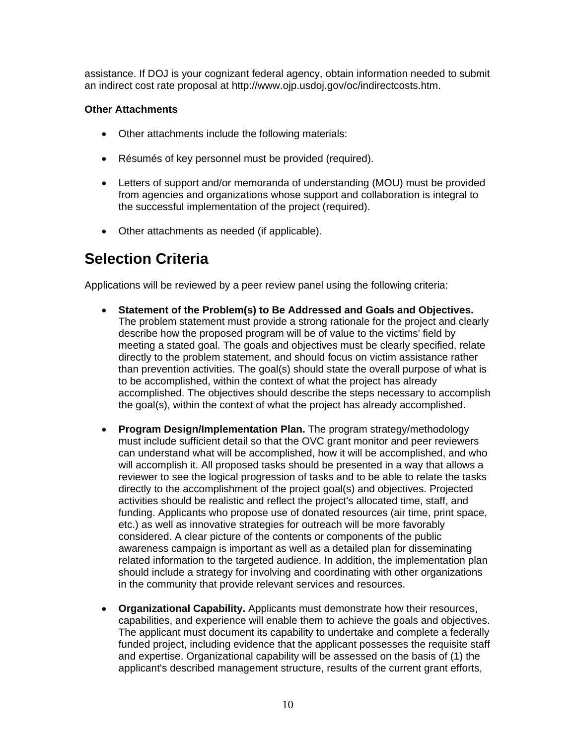assistance. If DOJ is your cognizant federal agency, obtain information needed to submit an indirect cost rate proposal at http://www.ojp.usdoj.gov/oc/indirectcosts.htm.

### **Other Attachments**

- Other attachments include the following materials:
- Résumés of key personnel must be provided (required).
- Letters of support and/or memoranda of understanding (MOU) must be provided from agencies and organizations whose support and collaboration is integral to the successful implementation of the project (required).
- Other attachments as needed (if applicable).

### **Selection Criteria**

Applications will be reviewed by a peer review panel using the following criteria:

- **Statement of the Problem(s) to Be Addressed and Goals and Objectives.** The problem statement must provide a strong rationale for the project and clearly describe how the proposed program will be of value to the victims' field by meeting a stated goal. The goals and objectives must be clearly specified, relate directly to the problem statement, and should focus on victim assistance rather than prevention activities. The goal(s) should state the overall purpose of what is to be accomplished, within the context of what the project has already accomplished. The objectives should describe the steps necessary to accomplish the goal(s), within the context of what the project has already accomplished.
- **Program Design/Implementation Plan.** The program strategy/methodology must include sufficient detail so that the OVC grant monitor and peer reviewers can understand what will be accomplished, how it will be accomplished, and who will accomplish it. All proposed tasks should be presented in a way that allows a reviewer to see the logical progression of tasks and to be able to relate the tasks directly to the accomplishment of the project goal(s) and objectives. Projected activities should be realistic and reflect the project's allocated time, staff, and funding. Applicants who propose use of donated resources (air time, print space, etc.) as well as innovative strategies for outreach will be more favorably considered. A clear picture of the contents or components of the public awareness campaign is important as well as a detailed plan for disseminating related information to the targeted audience. In addition, the implementation plan should include a strategy for involving and coordinating with other organizations in the community that provide relevant services and resources.
- **Organizational Capability.** Applicants must demonstrate how their resources, capabilities, and experience will enable them to achieve the goals and objectives. The applicant must document its capability to undertake and complete a federally funded project, including evidence that the applicant possesses the requisite staff and expertise. Organizational capability will be assessed on the basis of (1) the applicant's described management structure, results of the current grant efforts,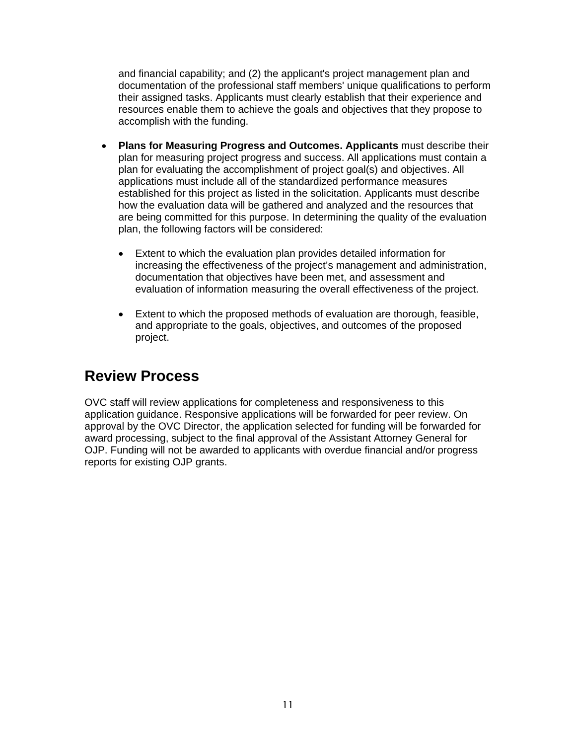and financial capability; and (2) the applicant's project management plan and documentation of the professional staff members' unique qualifications to perform their assigned tasks. Applicants must clearly establish that their experience and resources enable them to achieve the goals and objectives that they propose to accomplish with the funding.

- **Plans for Measuring Progress and Outcomes. Applicants** must describe their plan for measuring project progress and success. All applications must contain a plan for evaluating the accomplishment of project goal(s) and objectives. All applications must include all of the standardized performance measures established for this project as listed in the solicitation. Applicants must describe how the evaluation data will be gathered and analyzed and the resources that are being committed for this purpose. In determining the quality of the evaluation plan, the following factors will be considered:
	- Extent to which the evaluation plan provides detailed information for increasing the effectiveness of the project's management and administration, documentation that objectives have been met, and assessment and evaluation of information measuring the overall effectiveness of the project.
	- Extent to which the proposed methods of evaluation are thorough, feasible, and appropriate to the goals, objectives, and outcomes of the proposed project.

## **Review Process**

OVC staff will review applications for completeness and responsiveness to this application guidance. Responsive applications will be forwarded for peer review. On approval by the OVC Director, the application selected for funding will be forwarded for award processing, subject to the final approval of the Assistant Attorney General for OJP. Funding will not be awarded to applicants with overdue financial and/or progress reports for existing OJP grants.